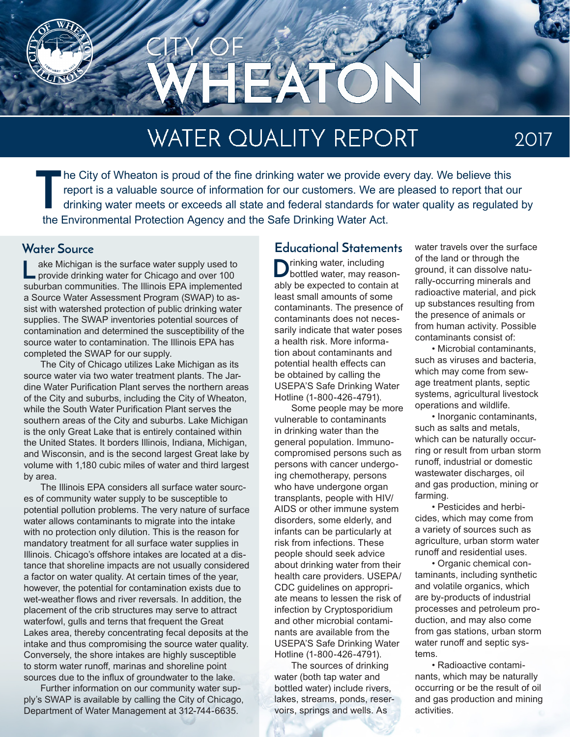

# **WATER QUALITY REPORT**

2017

**T** he City of Wheaton is proud of the fine drinking water we provide every day. We believe this report is a valuable source of information for our customers. We are pleased to report that our drinking water meets or exceeds all state and federal standards for water quality as regulated by the Environmental Protection Agency and the Safe Drinking Water Act.

ake Michigan is the surface water supply used to provide drinking water for Chicago and over 100 suburban communities. The Illinois EPA implemented a Source Water Assessment Program (SWAP) to assist with watershed protection of public drinking water supplies. The SWAP inventories potential sources of contamination and determined the susceptibility of the source water to contamination. The Illinois EPA has completed the SWAP for our supply. **L**

The City of Chicago utilizes Lake Michigan as its source water via two water treatment plants. The Jardine Water Purification Plant serves the northern areas of the City and suburbs, including the City of Wheaton, while the South Water Purification Plant serves the southern areas of the City and suburbs. Lake Michigan is the only Great Lake that is entirely contained within the United States. It borders Illinois, Indiana, Michigan, and Wisconsin, and is the second largest Great lake by volume with 1,180 cubic miles of water and third largest by area.

The Illinois EPA considers all surface water sources of community water supply to be susceptible to potential pollution problems. The very nature of surface water allows contaminants to migrate into the intake with no protection only dilution. This is the reason for mandatory treatment for all surface water supplies in Illinois. Chicago's offshore intakes are located at a distance that shoreline impacts are not usually considered a factor on water quality. At certain times of the year, however, the potential for contamination exists due to wet-weather flows and river reversals. In addition, the placement of the crib structures may serve to attract waterfowl, gulls and terns that frequent the Great Lakes area, thereby concentrating fecal deposits at the intake and thus compromising the source water quality. Conversely, the shore intakes are highly susceptible to storm water runoff, marinas and shoreline point sources due to the influx of groundwater to the lake.

Further information on our community water supply's SWAP is available by calling the City of Chicago, Department of Water Management at 312-744-6635.

#### **Water Source Educational Statements**

 $\sum$ rinking water, including<br>bottled water, may reasonably be expected to contain at least small amounts of some contaminants. The presence of contaminants does not necessarily indicate that water poses a health risk. More information about contaminants and potential health effects can be obtained by calling the USEPA'S Safe Drinking Water Hotline (1-800-426-4791).

Some people may be more vulnerable to contaminants in drinking water than the general population. Immunocompromised persons such as persons with cancer undergoing chemotherapy, persons who have undergone organ transplants, people with HIV/ AIDS or other immune system disorders, some elderly, and infants can be particularly at risk from infections. These people should seek advice about drinking water from their health care providers. USEPA/ CDC guidelines on appropriate means to lessen the risk of infection by Cryptosporidium and other microbial contaminants are available from the USEPA'S Safe Drinking Water Hotline (1-800-426-4791).

The sources of drinking water (both tap water and bottled water) include rivers, lakes, streams, ponds, reservoirs, springs and wells. As

water travels over the surface of the land or through the ground, it can dissolve naturally-occurring minerals and radioactive material, and pick up substances resulting from the presence of animals or from human activity. Possible contaminants consist of:

• Microbial contaminants, such as viruses and bacteria, which may come from sewage treatment plants, septic systems, agricultural livestock operations and wildlife.

• Inorganic contaminants, such as salts and metals, which can be naturally occurring or result from urban storm runoff, industrial or domestic wastewater discharges, oil and gas production, mining or farming.

• Pesticides and herbicides, which may come from a variety of sources such as agriculture, urban storm water runoff and residential uses.

• Organic chemical contaminants, including synthetic and volatile organics, which are by-products of industrial processes and petroleum production, and may also come from gas stations, urban storm water runoff and septic systems.

• Radioactive contaminants, which may be naturally occurring or be the result of oil and gas production and mining activities.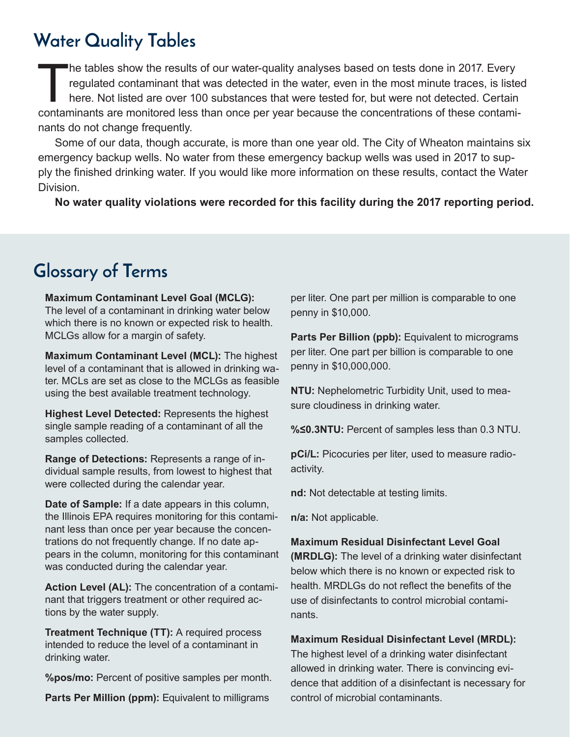#### **Water Quality Tables**

The tables show the results of our water-quality analyses based on tests done in 2017. Every<br>regulated contaminant that was detected in the water, even in the most minute traces, is listed<br>here. Not listed are over 100 sub regulated contaminant that was detected in the water, even in the most minute traces, is listed here. Not listed are over 100 substances that were tested for, but were not detected. Certain contaminants are monitored less than once per year because the concentrations of these contaminants do not change frequently.

Some of our data, though accurate, is more than one year old. The City of Wheaton maintains six emergency backup wells. No water from these emergency backup wells was used in 2017 to supply the finished drinking water. If you would like more information on these results, contact the Water Division.

**No water quality violations were recorded for this facility during the 2017 reporting period.**

#### **Glossary of Terms**

**Maximum Contaminant Level Goal (MCLG):**  The level of a contaminant in drinking water below which there is no known or expected risk to health. MCLGs allow for a margin of safety.

**Maximum Contaminant Level (MCL):** The highest level of a contaminant that is allowed in drinking water. MCLs are set as close to the MCLGs as feasible using the best available treatment technology.

**Highest Level Detected:** Represents the highest single sample reading of a contaminant of all the samples collected.

**Range of Detections:** Represents a range of individual sample results, from lowest to highest that were collected during the calendar year.

**Date of Sample:** If a date appears in this column, the Illinois EPA requires monitoring for this contaminant less than once per year because the concentrations do not frequently change. If no date appears in the column, monitoring for this contaminant was conducted during the calendar year.

**Action Level (AL):** The concentration of a contaminant that triggers treatment or other required actions by the water supply.

**Treatment Technique (TT):** A required process intended to reduce the level of a contaminant in drinking water.

**%pos/mo:** Percent of positive samples per month.

Parts Per Million (ppm): Equivalent to milligrams

per liter. One part per million is comparable to one penny in \$10,000.

**Parts Per Billion (ppb):** Equivalent to micrograms per liter. One part per billion is comparable to one penny in \$10,000,000.

**NTU:** Nephelometric Turbidity Unit, used to measure cloudiness in drinking water.

**%≤0.3NTU:** Percent of samples less than 0.3 NTU.

**pCi/L:** Picocuries per liter, used to measure radioactivity.

**nd:** Not detectable at testing limits.

**n/a:** Not applicable.

#### **Maximum Residual Disinfectant Level Goal**

**(MRDLG):** The level of a drinking water disinfectant below which there is no known or expected risk to health. MRDLGs do not reflect the benefits of the use of disinfectants to control microbial contaminants.

#### **Maximum Residual Disinfectant Level (MRDL):**

The highest level of a drinking water disinfectant allowed in drinking water. There is convincing evidence that addition of a disinfectant is necessary for control of microbial contaminants.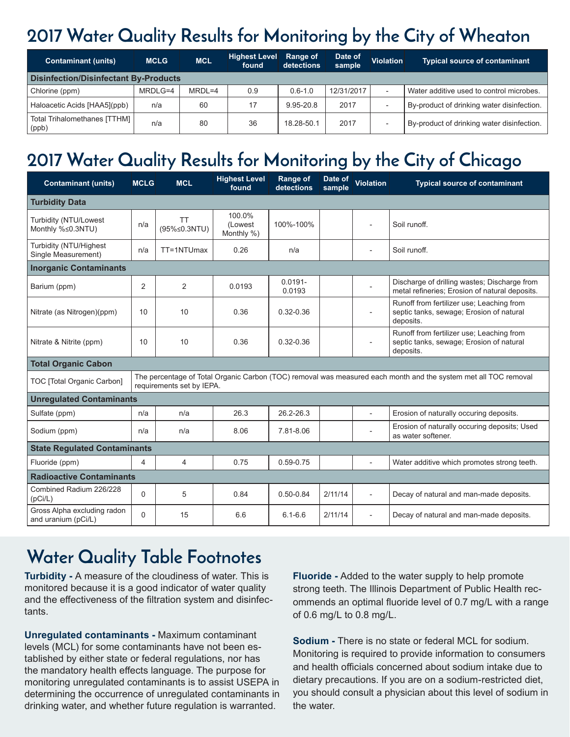### **2017 Water Quality Results for Monitoring by the City of Wheaton**

| <b>Contaminant (units)</b>                   | <b>MCLG</b> | <b>MCL</b> | <b>Highest Level</b><br>found | Range of<br>detections | Date of<br>sample | <b>Violation</b>         | <b>Typical source of contaminant</b>       |  |  |  |  |  |
|----------------------------------------------|-------------|------------|-------------------------------|------------------------|-------------------|--------------------------|--------------------------------------------|--|--|--|--|--|
| <b>Disinfection/Disinfectant By-Products</b> |             |            |                               |                        |                   |                          |                                            |  |  |  |  |  |
| Chlorine (ppm)                               | MRDLG=4     | $MRDL=4$   | 0.9                           | $0.6 - 1.0$            | 12/31/2017        |                          | Water additive used to control microbes.   |  |  |  |  |  |
| Haloacetic Acids [HAA5](ppb)                 | n/a         | 60         | 17                            | 9.95-20.8              | 2017              | $\overline{\phantom{a}}$ | By-product of drinking water disinfection. |  |  |  |  |  |
| Total Trihalomethanes [TTHM]<br>(ppb)        | n/a         | 80         | 36                            | 18.28-50.1             | 2017              | $\overline{\phantom{a}}$ | By-product of drinking water disinfection. |  |  |  |  |  |

### **2017 Water Quality Results for Monitoring by the City of Chicago**

| <b>Contaminant (units)</b>                         | <b>MCLG</b>                                                                                                                                  | <b>MCL</b>         | <b>Highest Level</b><br>found   | Range of<br>detections | Date of<br>sample | <b>Violation</b>         | <b>Typical source of contaminant</b>                                                               |  |  |  |  |
|----------------------------------------------------|----------------------------------------------------------------------------------------------------------------------------------------------|--------------------|---------------------------------|------------------------|-------------------|--------------------------|----------------------------------------------------------------------------------------------------|--|--|--|--|
| <b>Turbidity Data</b>                              |                                                                                                                                              |                    |                                 |                        |                   |                          |                                                                                                    |  |  |  |  |
| Turbidity (NTU/Lowest<br>Monthly %≤0.3NTU)         | n/a                                                                                                                                          | TT<br>(95%≤0.3NTU) | 100.0%<br>(Lowest<br>Monthly %) | 100%-100%              |                   | $\overline{a}$           | Soil runoff.                                                                                       |  |  |  |  |
| Turbidity (NTU/Highest<br>Single Measurement)      | n/a                                                                                                                                          | TT=1NTUmax         | 0.26                            | n/a                    |                   | $\overline{\phantom{a}}$ | Soil runoff.                                                                                       |  |  |  |  |
| <b>Inorganic Contaminants</b>                      |                                                                                                                                              |                    |                                 |                        |                   |                          |                                                                                                    |  |  |  |  |
| Barium (ppm)                                       | 2                                                                                                                                            | $\overline{2}$     | 0.0193                          | $0.0191 -$<br>0.0193   |                   | $\overline{\phantom{a}}$ | Discharge of drilling wastes; Discharge from<br>metal refineries; Erosion of natural deposits.     |  |  |  |  |
| Nitrate (as Nitrogen)(ppm)                         | 10                                                                                                                                           | 10                 | 0.36                            | $0.32 - 0.36$          |                   | $\sim$                   | Runoff from fertilizer use; Leaching from<br>septic tanks, sewage; Erosion of natural<br>deposits. |  |  |  |  |
| Nitrate & Nitrite (ppm)                            | 10                                                                                                                                           | 10                 | 0.36                            | $0.32 - 0.36$          |                   |                          | Runoff from fertilizer use; Leaching from<br>septic tanks, sewage; Erosion of natural<br>deposits. |  |  |  |  |
| <b>Total Organic Cabon</b>                         |                                                                                                                                              |                    |                                 |                        |                   |                          |                                                                                                    |  |  |  |  |
| TOC [Total Organic Carbon]                         | The percentage of Total Organic Carbon (TOC) removal was measured each month and the system met all TOC removal<br>requirements set by IEPA. |                    |                                 |                        |                   |                          |                                                                                                    |  |  |  |  |
| <b>Unregulated Contaminants</b>                    |                                                                                                                                              |                    |                                 |                        |                   |                          |                                                                                                    |  |  |  |  |
| Sulfate (ppm)                                      | n/a                                                                                                                                          | n/a                | 26.3                            | 26.2-26.3              |                   | L,                       | Erosion of naturally occuring deposits.                                                            |  |  |  |  |
| Sodium (ppm)                                       | n/a                                                                                                                                          | n/a                | 8.06                            | 7.81-8.06              |                   |                          | Erosion of naturally occuring deposits; Used<br>as water softener.                                 |  |  |  |  |
| <b>State Regulated Contaminants</b>                |                                                                                                                                              |                    |                                 |                        |                   |                          |                                                                                                    |  |  |  |  |
| Fluoride (ppm)                                     | 4                                                                                                                                            | 4                  | 0.75                            | 0.59-0.75              |                   | $\overline{a}$           | Water additive which promotes strong teeth.                                                        |  |  |  |  |
| <b>Radioactive Contaminants</b>                    |                                                                                                                                              |                    |                                 |                        |                   |                          |                                                                                                    |  |  |  |  |
| Combined Radium 226/228<br>(pCi/L)                 | $\Omega$                                                                                                                                     | 5                  | 0.84                            | $0.50 - 0.84$          | 2/11/14           | $\overline{\phantom{a}}$ | Decay of natural and man-made deposits.                                                            |  |  |  |  |
| Gross Alpha excluding radon<br>and uranium (pCi/L) | $\Omega$                                                                                                                                     | 15                 | 6.6                             | $6.1 - 6.6$            | 2/11/14           | $\overline{\phantom{a}}$ | Decay of natural and man-made deposits.                                                            |  |  |  |  |

#### **Water Quality Table Footnotes**

**Turbidity -** A measure of the cloudiness of water. This is monitored because it is a good indicator of water quality and the effectiveness of the filtration system and disinfectants.

**Unregulated contaminants -** Maximum contaminant levels (MCL) for some contaminants have not been established by either state or federal regulations, nor has the mandatory health effects language. The purpose for monitoring unregulated contaminants is to assist USEPA in determining the occurrence of unregulated contaminants in drinking water, and whether future regulation is warranted.

**Fluoride -** Added to the water supply to help promote strong teeth. The Illinois Department of Public Health recommends an optimal fluoride level of 0.7 mg/L with a range of 0.6 mg/L to 0.8 mg/L.

**Sodium -** There is no state or federal MCL for sodium. Monitoring is required to provide information to consumers and health officials concerned about sodium intake due to dietary precautions. If you are on a sodium-restricted diet, you should consult a physician about this level of sodium in the water.